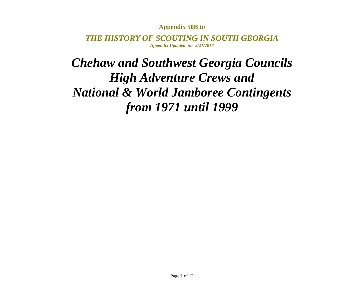## **Appendix 50B to**

*THE HISTORY OF SCOUTING IN SOUTH GEORGIAAppendix Updated on: 3/21/2018*

## *Chehaw and Southwest Georgia Councils High Adventure Crews and National & World Jamboree Contingents from 1971 until 1999*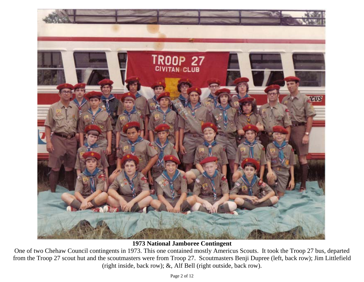

**1973 National Jamboree Contingent** 

One of two Chehaw Council contingents in 1973. This one contained mostly Americus Scouts. It took the Troop 27 bus, departed from the Troop 27 scout hut and the scoutmasters were from Troop 27. Scoutmasters Benji Dupree (left, back row); Jim Littlefield (right inside, back row); &, Alf Bell (right outside, back row).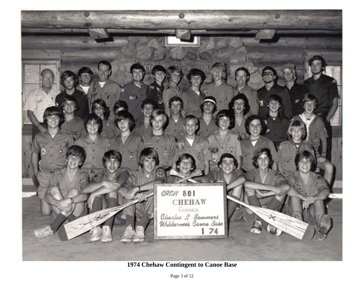

**1974 Chehaw Contingent to Canoe Base**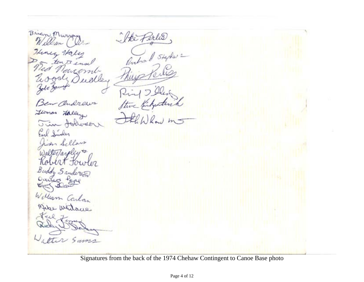Me Perles Brien Murray William Heney Haley toute  $n$ alley Glomas Lalley Jun Johnson Carl Sinder n Sellars Walterarol rt four on Buddy Sanderson William Carlos weitage Sams

Signatures from the back of the 1974 Chehaw Contingent to Canoe Base photo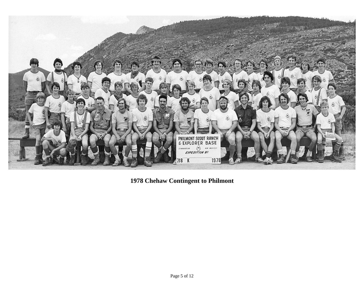

**1978 Chehaw Contingent to Philmont**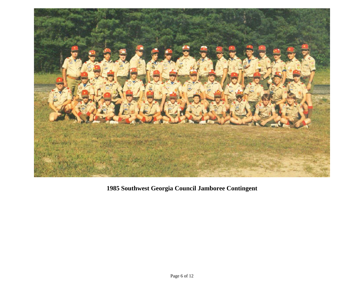

**1985 Southwest Georgia Council Jamboree Contingent**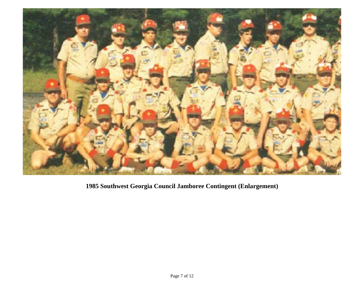

**1985 Southwest Georgia Council Jamboree Contingent (Enlargement)**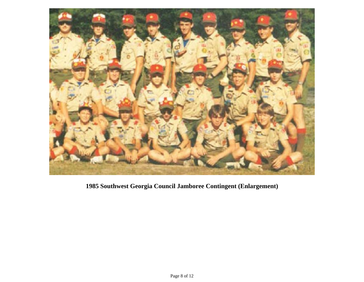

**1985 Southwest Georgia Council Jamboree Contingent (Enlargement)**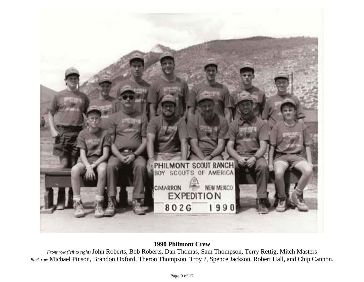

## **1990 Philmont Crew**

*Front row (left to right)* John Roberts, Bob Roberts, Dan Thomas, Sam Thompson, Terry Rettig, Mitch Masters *Back row* Michael Pinson, Brandon Oxford, Theron Thompson, Troy ?, Spence Jackson, Robert Hall, and Chip Cannon.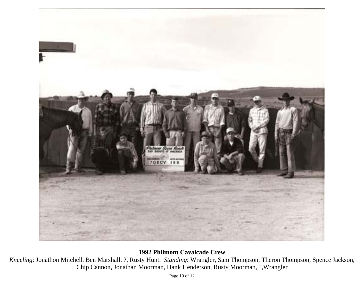

## **1992 Philmont Cavalcade Crew**

*Kneeling*: Jonathon Mitchell, Ben Marshall, ?, Rusty Hunt. *Standing*: Wrangler, Sam Thompson, Theron Thompson, Spence Jackson, Chip Cannon, Jonathan Moorman, Hank Henderson, Rusty Moorman, ?,Wrangler

Page 10 of 12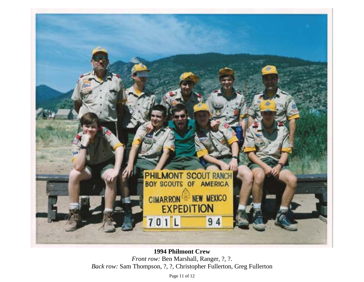

**1994 Philmont Crew**  *Front row: Ben Marshall, Ranger, ?, ?. Back row:* Sam Thompson, ?, ?, Christopher Fullerton, Greg Fullerton

Page 11 of 12